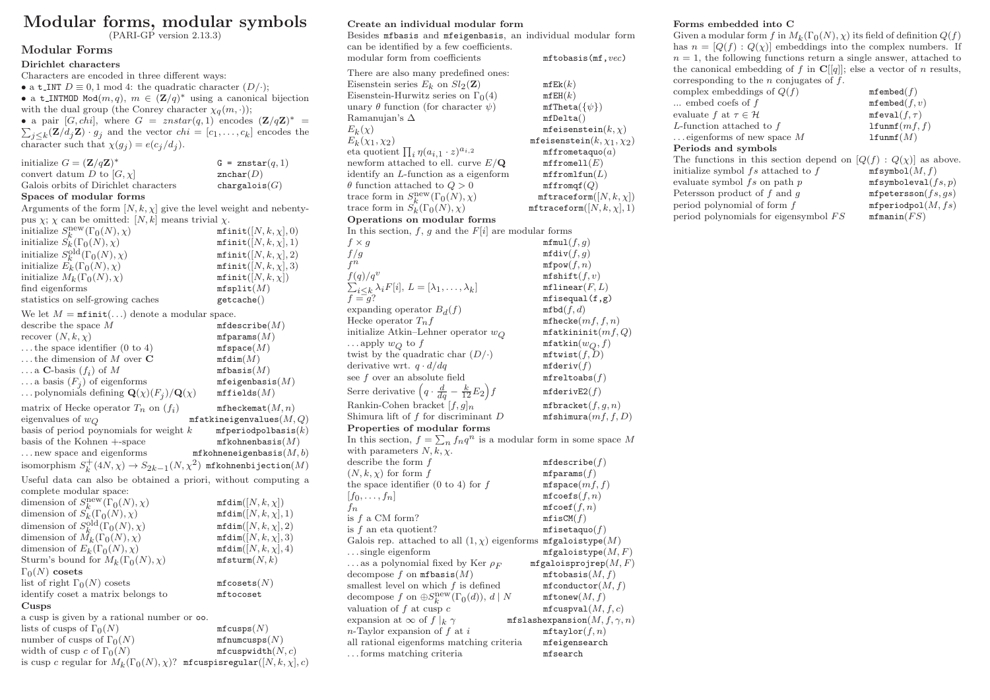# Modular forms, modular symbols

(PARI-GP version 2.13.3)

### Modular Forms

Dirichlet characters Characters are encoded in three different ways: • a t\_INT  $D \equiv 0, 1 \mod 4$ : the quadratic character  $(D/\cdot);$ • a t\_INTMOD Mod $(m, q)$ ,  $m \in (\mathbf{Z}/q)^*$  using a canonical bijection with the dual group (the Conrey character  $\chi_q(m, \cdot)$ ); • a pair [G, chi], where  $G = znstar(q, 1)$  encodes  $(\mathbf{Z}/q\mathbf{Z})^* =$  $\sum_{j\leq k} (\mathbf{Z}/d_j \mathbf{Z}) \cdot g_j$  and the vector  $chi = [c_1, \ldots, c_k]$  encodes the character such that  $\chi(g_j) = e(c_j/d_j)$ . initialize  $G = (\mathbf{Z}/q\mathbf{Z})^*$  $G = \text{znstar}(a, 1)$ convert datum D to  $[G, \chi]$  znchar $(D)$ Galois orbits of Dirichlet characters chargalois $(G)$ Spaces of modular forms Arguments of the form  $[N, k, \chi]$  give the level weight and nebentypus  $\chi$ :  $\chi$  can be omitted: [N, k] means trivial  $\chi$ . initialize  $S_k^{\text{new}}(\Gamma_0(N), \chi)$  mfinit $([N, k, \chi], 0)$ <br>initialize  $S_k(\Gamma_0(N), \chi)$  mfinit $([N, k, \chi], 1)$  $\text{minit}([N, k, \chi], 0)$ <br> $\text{minit}([N, k, \chi], 1)$ initialize  $S_k^{\text{old}}$  $\text{minit}([N, k, \chi], 2)$ <br> $\text{minit}([N, k, \chi], 3)$ initialize  $E_k(\Gamma_0(N), \chi)$  mfinit $([N, k, \chi],$ <br>initialize  $M_k(\Gamma_0(N), \chi)$  mfinit $([N, k, \chi])$ initialize  $M_k(\Gamma_0(N), \chi)$  mfinit $([N, k])$ <br>find eigenforms mfsplit $(M)$ find eigenforms statistics on self-growing caches getcache() We let  $M = \text{minit}(\ldots)$  denote a modular space. describe the space  $M$  mfdescribe $(M)$ recover  $(N, k, \chi)$  mfparams $(M)$ ... the space identifier  $(0 \text{ to } 4)$  mf space $(M)$ ... the dimension of M over  $C$  mfdim $(M)$  $\ldots$  a C-basis  $(f_i)$  of M  $mfbasis(M)$  $\ldots$  a basis  $(F_i)$  of eigenforms  $m$ feigenbasis $(M)$ ... polynomials defining  $\mathbf{Q}(\chi)(F_i)/\mathbf{Q}(\chi)$  $m$ ffields $(M)$ matrix of Hecke operator  $T_n$  on  $(f_i)$ <br>eigenvalues of  $w_O$  $m$ fheckemat $(M, n)$ mfatkineigenvalues $(M, Q)$ <br> $k$  mfperiodpolbasis(k) basis of period poynomials for weight  $k$ basis of the Kohnen  $+$ -space mfkohnenbasis $(M)$ ... new space and eigenforms  $\mathbf{m}$  fix obneneigenbasis( $M, b$ ) isomorphism  $S_k^+(4N, \chi) \to S_{2k-1}(N, \chi^2)$  mfkohnenbijection $(M)$ 

Useful data can also be obtained a priori, without computing a complete modular space:

dimension of  $S_k^{\text{new}}$  $mfdim([N, k, \chi])$ <br>  $mfdim([N, k, \chi], 1)$ dimension of  $S_k(\Gamma_0(N), \chi)$ dimension of  $S_k^{\text{old}}$  $mfdim([N, k, \chi], 2)$ <br> $mfdim([N, k, \chi], 3)$ dimension of  $\tilde{M}_k(\Gamma_0(N), \chi)$  mfdim([N, k,  $\chi$ ], 3)<br>dimension of  $E_k(\Gamma_0(N), \chi)$  mfdim([N, k,  $\chi$ ], 4) dimension of  $E_k(\Gamma_0(N), \chi)$  mfdim([N, k,  $\chi$ )<br>Sturm's bound for  $M_k(\Gamma_0(N), \chi)$  mfsturm(N, k) Sturm's bound for  $M_k(\Gamma_0(N), \chi)$  $Γ_0(N)$  cosets list of right  $\Gamma_0(N)$  cosets mfcosets(N) identify coset a matrix belongs to mftocoset Cusps a cusp is given by a rational number or oo. lists of cusps of  $\Gamma_0(N)$  mfcusps(N)<br>number of cusps of  $\Gamma_0(N)$  mfnumcusps(N) number of cusps of  $\Gamma_0(N)$  mfnumcusps(N)<br>width of cusp c of  $\Gamma_0(N)$  mfcuspwidth(N, c) width of cusp c of  $\Gamma_0(N)$ is cusp c regular for  $M_k(\Gamma_0(N), \chi)$ ? mfcuspisregular $([N, k, \chi], c)$ 

### Create an individual modular form

| Besides mfbasis and mfeigenbasis, an individual modular form                      |                                           |
|-----------------------------------------------------------------------------------|-------------------------------------------|
| can be identified by a few coefficients.                                          |                                           |
| modular form from coefficients                                                    | mftobasis(mf, vec)                        |
| There are also many predefined ones:                                              |                                           |
|                                                                                   |                                           |
| Eisenstein series $E_k$ on $Sl_2(\mathbf{Z})$                                     | mfEk(k)                                   |
| Eisenstein-Hurwitz series on $\Gamma_0(4)$                                        | mfEH(k)                                   |
| unary $\theta$ function (for character $\psi$ )                                   | $\texttt{mfTheta}(\{\psi\})$              |
| Ramanujan's $\Delta$                                                              | mfDelta()                                 |
| $E_k(\chi)$                                                                       | mfeisenstein $(k, \chi)$                  |
| $E_k(\chi_1,\chi_2)$                                                              | mfeisenstein $(k, \chi_1, \chi_2)$        |
| eta quotient $\prod_i \eta(a_{i,1}\cdot z)^{a_{i,2}}$                             | mffrometaquo(a)                           |
| newform attached to ell. curve $E/\mathbf{Q}$                                     | mffromell(E)                              |
| identify an <i>L</i> -function as a eigenform                                     | $\texttt{mffromltun}(L)$                  |
| $\theta$ function attached to $Q > 0$                                             | $\texttt{mfromqf}(Q)$                     |
| trace form in $S_k^{\text{new}}(\Gamma_0(N), \chi)$                               | $\texttt{mftraceform}([N, k, \chi])$      |
| trace form in $S_k(\Gamma_0(N), \chi)$                                            | $\texttt{mftraceform}([N, k, \chi], 1)$   |
| Operations on modular forms                                                       |                                           |
| In this section, f, g and the $F[i]$ are modular forms                            |                                           |
| $f \times g$                                                                      | minu1(f,g)                                |
| f/g                                                                               | $\texttt{mfdiv}(f,g)$                     |
| $f^n$                                                                             | $m$ fpow $(f, n)$                         |
| $f(q)/q^v$                                                                        | $\texttt{mfshift}(f, v)$                  |
| $\sum_{i \leq k} \lambda_i F[i], L = [\lambda_1, \ldots, \lambda_k]$<br>$f = g$ ? | $m$ flinear $(F, L)$                      |
|                                                                                   | $m$ fisequal $(f,g)$                      |
| expanding operator $B_d(f)$                                                       | mfbd(f, d)                                |
| Hecke operator $T_n f$                                                            | $m$ fhecke $(mf, f, n)$                   |
| initialize Atkin-Lehner operator $w_O$                                            | $m$ fatkininit $(mf,Q)$                   |
| apply $w_Q$ to f                                                                  | $\texttt{mfatkin}(w_Q,f)$                 |
| twist by the quadratic char $(D/\cdot)$                                           | $\texttt{mftwist}(f, D)$                  |
| derivative wrt. $q \cdot d/dq$                                                    | mfderiv(f)                                |
| see $f$ over an absolute field                                                    | $m$ freltoabs $(f)$                       |
| Serre derivative $\left(q \cdot \frac{d}{dq} - \frac{k}{12} E_2\right) f$         | mfderivE2(f)                              |
| Rankin-Cohen bracket $[f, g]_n$                                                   | $m$ fbracket $(f, g, n)$                  |
| Shimura lift of $f$ for discriminant $D$                                          | mfshimura(mf, f, D)                       |
| Properties of modular forms                                                       |                                           |
| In this section, $f = \sum_n f_n q^n$ is a modular form in some space M           |                                           |
| with parameters $N, k, \chi$ .                                                    |                                           |
| describe the form $f$                                                             | mfdescribe(f)                             |
| $(N, k, \chi)$ for form f                                                         | mfparams(f)                               |
| the space identifier $(0 \text{ to } 4)$ for f                                    | $m$ fspace $(mf, f)$                      |
| $[f_0,\ldots,f_n]$                                                                | $m$ fcoefs $(f, n)$                       |
| fn                                                                                | $m$ fcoef $(f, n)$                        |
| is $f$ a CM form?                                                                 | mfirstCM(f)                               |
| is $f$ an eta quotient?                                                           | $m$ fisetaquo $(f)$                       |
| Galois rep. attached to all $(1, \chi)$ eigenforms <b>mfgaloistype</b> $(M)$      |                                           |
| $\dots$ single eigenform                                                          | $m$ fgaloistype $(M,F)$                   |
| $\ldots$ as a polynomial fixed by Ker $\rho_F$                                    | ${\tt mfgaloisprojrep}(M,F)$              |
| decompose f on $m\texttt{fbasis}(M)$                                              | mftobasis(M, f)                           |
| smallest level on which $f$ is defined                                            | mfconductor(M, f)                         |
| decompose f on $\oplus S_k^{\text{new}}(\Gamma_0(d)), d \mid N$                   | $\mathtt{mftonew}(M,f)$                   |
| valuation of $f$ at cusp $c$                                                      | mfcuspval(M, f, c)                        |
| expansion at $\infty$ of $f _k \gamma$                                            | ${\tt mfslashexpansion}(M, f, \gamma, n)$ |
| $n$ -Taylor expansion of $f$ at $i$                                               | $\texttt{mftaylor}(f, n)$                 |
| all rational eigenforms matching criteria                                         | mfeigensearch                             |
| forms matching criteria                                                           | mfsearch                                  |

### Forms embedded into C

Given a modular form f in  $M_k(\Gamma_0(N), \chi)$  its field of definition  $Q(f)$ has  $n = [Q(f) : Q(\chi)]$  embeddings into the complex numbers. If  $n = 1$ , the following functions return a single answer, attached to the canonical embedding of f in  $\mathbf{C}[[q]]$ ; else a vector of n results, corresponding to the  $n$  conjugates of  $f$ . complex embeddings of  $Q(f)$  mfembed $(f)$ ... embed coefs of  $f$  mfembed $(f, v)$ evaluate f at  $\tau \in \mathcal{H}$  mfeval(f,  $\tau$ )

## L-function attached to f lfunm  $f(mf, f)$

... eigenforms of new space  $M$  lfunm  $f(M)$ Periods and symbols The functions in this section depend on  $[Q(f) : Q(\chi)]$  as above. initialize symbol fs attached to f  $\qquad \qquad$  mfsymbol(*M, f*) evaluate symbol  $fs$  on path  $p$  mfsymboleval $(fs, p)$ Petersson product of f and g mfpetersson $(fs, qs)$ period polynomial of form  $f$  mfperiodpol $(M, fs)$ period polynomials for eigensymbol  $FS$  mfmanin( $FS$ )